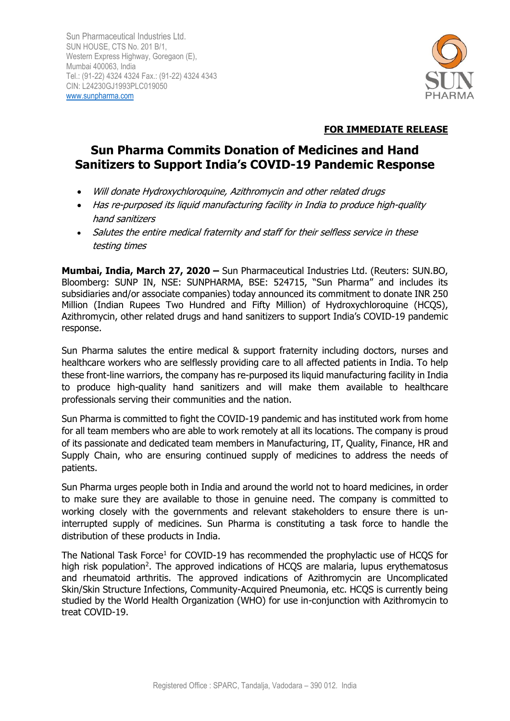

# **FOR IMMEDIATE RELEASE**

# **Sun Pharma Commits Donation of Medicines and Hand Sanitizers to Support India's COVID-19 Pandemic Response**

- Will donate Hydroxychloroquine, Azithromycin and other related drugs
- Has re-purposed its liquid manufacturing facility in India to produce high-quality hand sanitizers
- Salutes the entire medical fraternity and staff for their selfless service in these testing times

**Mumbai, India, March 27, 2020 –** Sun Pharmaceutical Industries Ltd. (Reuters: SUN.BO, Bloomberg: SUNP IN, NSE: SUNPHARMA, BSE: 524715, "Sun Pharma" and includes its subsidiaries and/or associate companies) today announced its commitment to donate INR 250 Million (Indian Rupees Two Hundred and Fifty Million) of Hydroxychloroquine (HCQS), Azithromycin, other related drugs and hand sanitizers to support India's COVID-19 pandemic response.

Sun Pharma salutes the entire medical & support fraternity including doctors, nurses and healthcare workers who are selflessly providing care to all affected patients in India. To help these front-line warriors, the company has re-purposed its liquid manufacturing facility in India to produce high-quality hand sanitizers and will make them available to healthcare professionals serving their communities and the nation.

Sun Pharma is committed to fight the COVID-19 pandemic and has instituted work from home for all team members who are able to work remotely at all its locations. The company is proud of its passionate and dedicated team members in Manufacturing, IT, Quality, Finance, HR and Supply Chain, who are ensuring continued supply of medicines to address the needs of patients.

Sun Pharma urges people both in India and around the world not to hoard medicines, in order to make sure they are available to those in genuine need. The company is committed to working closely with the governments and relevant stakeholders to ensure there is uninterrupted supply of medicines. Sun Pharma is constituting a task force to handle the distribution of these products in India.

The National Task Force<sup>1</sup> for COVID-19 has recommended the prophylactic use of HCQS for high risk population<sup>2</sup>. The approved indications of HCQS are malaria, lupus erythematosus and rheumatoid arthritis. The approved indications of Azithromycin are Uncomplicated Skin/Skin Structure Infections, Community-Acquired Pneumonia, etc. HCQS is currently being studied by the World Health Organization (WHO) for use in-conjunction with Azithromycin to treat COVID-19.